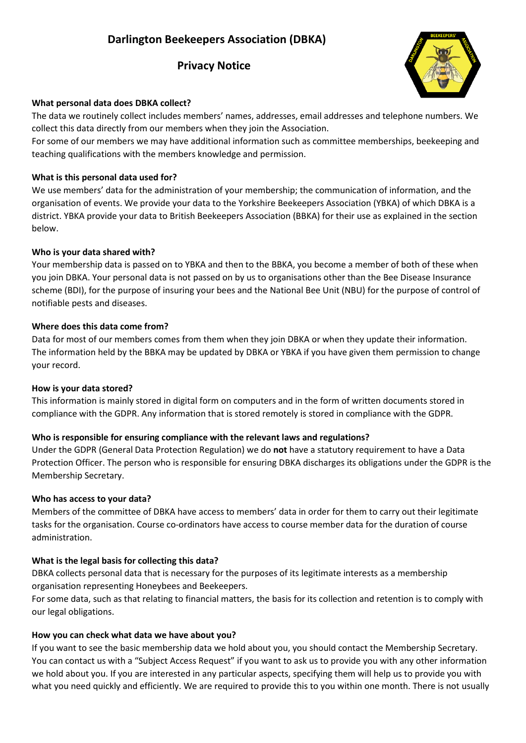# **Darlington Beekeepers Association (DBKA)**

## **Privacy Notice**



### **What personal data does DBKA collect?**

The data we routinely collect includes members' names, addresses, email addresses and telephone numbers. We collect this data directly from our members when they join the Association.

For some of our members we may have additional information such as committee memberships, beekeeping and teaching qualifications with the members knowledge and permission.

#### **What is this personal data used for?**

We use members' data for the administration of your membership; the communication of information, and the organisation of events. We provide your data to the Yorkshire Beekeepers Association (YBKA) of which DBKA is a district. YBKA provide your data to British Beekeepers Association (BBKA) for their use as explained in the section below.

#### **Who is your data shared with?**

Your membership data is passed on to YBKA and then to the BBKA, you become a member of both of these when you join DBKA. Your personal data is not passed on by us to organisations other than the Bee Disease Insurance scheme (BDI), for the purpose of insuring your bees and the National Bee Unit (NBU) for the purpose of control of notifiable pests and diseases.

#### **Where does this data come from?**

Data for most of our members comes from them when they join DBKA or when they update their information. The information held by the BBKA may be updated by DBKA or YBKA if you have given them permission to change your record.

#### **How is your data stored?**

This information is mainly stored in digital form on computers and in the form of written documents stored in compliance with the GDPR. Any information that is stored remotely is stored in compliance with the GDPR.

## **Who is responsible for ensuring compliance with the relevant laws and regulations?**

Under the GDPR (General Data Protection Regulation) we do **not** have a statutory requirement to have a Data Protection Officer. The person who is responsible for ensuring DBKA discharges its obligations under the GDPR is the Membership Secretary.

#### **Who has access to your data?**

Members of the committee of DBKA have access to members' data in order for them to carry out their legitimate tasks for the organisation. Course co-ordinators have access to course member data for the duration of course administration.

## **What is the legal basis for collecting this data?**

DBKA collects personal data that is necessary for the purposes of its legitimate interests as a membership organisation representing Honeybees and Beekeepers.

For some data, such as that relating to financial matters, the basis for its collection and retention is to comply with our legal obligations.

#### **How you can check what data we have about you?**

If you want to see the basic membership data we hold about you, you should contact the Membership Secretary. You can contact us with a "Subject Access Request" if you want to ask us to provide you with any other information we hold about you. If you are interested in any particular aspects, specifying them will help us to provide you with what you need quickly and efficiently. We are required to provide this to you within one month. There is not usually